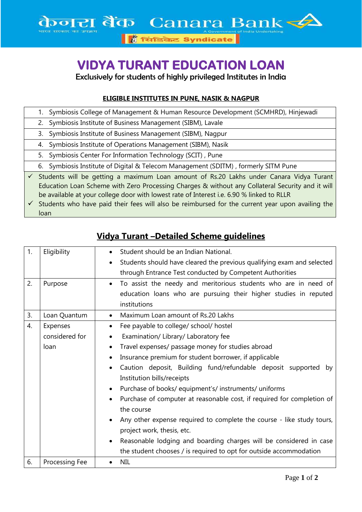## **VIDYA TURANT EDUCATION LOAN**

Exclusively for students of highly privileged Institutes in India

## **ELIGIBLE INSTITUTES IN PUNE, NASIK & NAGPUR**

|              |                                                                                                                                                                                                                                                                                          | 1. Symbiosis College of Management & Human Resource Development (SCMHRD), Hinjewadi              |
|--------------|------------------------------------------------------------------------------------------------------------------------------------------------------------------------------------------------------------------------------------------------------------------------------------------|--------------------------------------------------------------------------------------------------|
|              |                                                                                                                                                                                                                                                                                          | 2. Symbiosis Institute of Business Management (SIBM), Lavale                                     |
|              |                                                                                                                                                                                                                                                                                          | 3. Symbiosis Institute of Business Management (SIBM), Nagpur                                     |
|              |                                                                                                                                                                                                                                                                                          | 4. Symbiosis Institute of Operations Management (SIBM), Nasik                                    |
|              |                                                                                                                                                                                                                                                                                          | 5. Symbiosis Center For Information Technology (SCIT), Pune                                      |
|              |                                                                                                                                                                                                                                                                                          | 6. Symbiosis Institute of Digital & Telecom Management (SDITM), formerly SITM Pune               |
| $\checkmark$ | Students will be getting a maximum Loan amount of Rs.20 Lakhs under Canara Vidya Turant<br>Education Loan Scheme with Zero Processing Charges & without any Collateral Security and it will<br>be available at your college door with lowest rate of Interest i.e. 6.90 % linked to RLLR |                                                                                                  |
|              |                                                                                                                                                                                                                                                                                          | Students who have paid their fees will also be reimbursed for the current year upon availing the |

loan

| 1.               | Eligibility    | Student should be an Indian National.                                        |
|------------------|----------------|------------------------------------------------------------------------------|
|                  |                | Students should have cleared the previous qualifying exam and selected       |
|                  |                | through Entrance Test conducted by Competent Authorities                     |
| 2.               | Purpose        | To assist the needy and meritorious students who are in need of<br>$\bullet$ |
|                  |                | education loans who are pursuing their higher studies in reputed             |
|                  |                | institutions                                                                 |
| 3.               | Loan Quantum   | Maximum Loan amount of Rs.20 Lakhs<br>$\bullet$                              |
| $\overline{4}$ . | Expenses       | Fee payable to college/ school/ hostel<br>$\bullet$                          |
|                  | considered for | Examination/ Library/ Laboratory fee<br>$\bullet$                            |
|                  | loan           | Travel expenses/ passage money for studies abroad                            |
|                  |                | Insurance premium for student borrower, if applicable                        |
|                  |                | Caution deposit, Building fund/refundable deposit supported<br>by            |
|                  |                | Institution bills/receipts                                                   |
|                  |                | Purchase of books/ equipment's/ instruments/ uniforms                        |
|                  |                | Purchase of computer at reasonable cost, if required for completion of       |
|                  |                | the course                                                                   |
|                  |                | Any other expense required to complete the course - like study tours,        |
|                  |                | project work, thesis, etc.                                                   |
|                  |                | Reasonable lodging and boarding charges will be considered in case           |
|                  |                | the student chooses / is required to opt for outside accommodation           |
| 6.               | Processing Fee | <b>NIL</b>                                                                   |

## **Vidya Turant –Detailed Scheme guidelines**